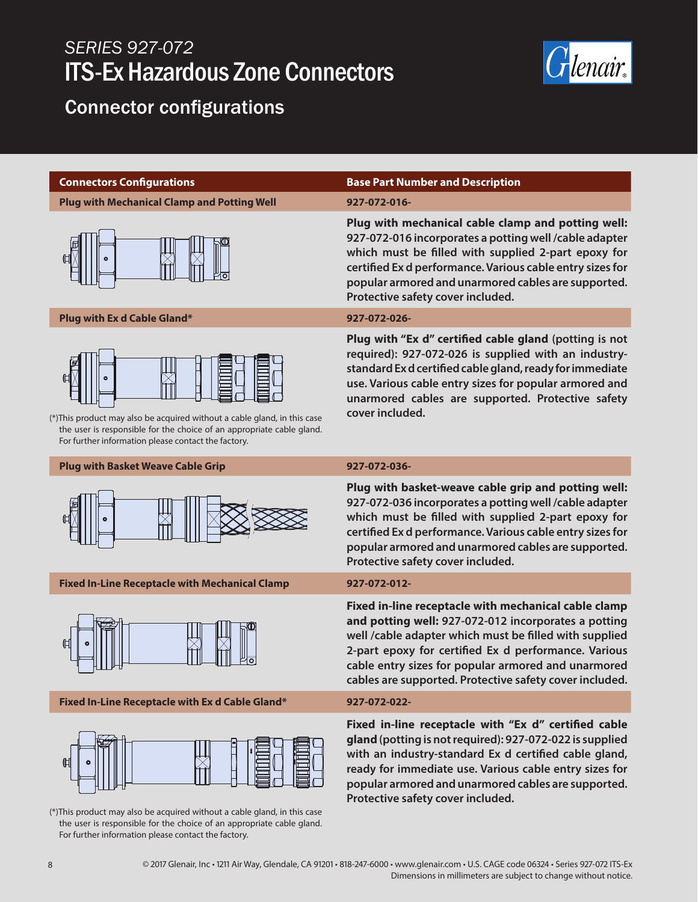# *SERIES 927-072* ITS-Ex Hazardous Zone Connectors



# Connector configurations

**Plug with Mechanical Clamp and Potting Well 927-072-016-**



## **Plug with Ex d Cable Gland\* 927-072-026-**



(\*)This product may also be acquired without a cable gland, in this case the user is responsible for the choice of an appropriate cable gland. For further information please contact the factory.

## **Plug with Basket Weave Cable Grip 927-072-036-**



**Fixed In-Line Receptacle with Mechanical Clamp 927-072-012-**



## **Fixed In-Line Receptacle with Ex d Cable Gland\* 927-072-022-**



(\*)This product may also be acquired without a cable gland, in this case the user is responsible for the choice of an appropriate cable gland. For further information please contact the factory.

## **Connectors Configurations Base Part Number and Description**

**Plug with mechanical cable clamp and potting well: 927-072-016 incorporates a potting well /cable adapter which must be filled with supplied 2-part epoxy for certified Ex d performance. Various cable entry sizes for popular armored and unarmored cables are supported. Protective safety cover included.**

**Plug with "Ex d" certified cable gland (potting is not required): 927-072-026 is supplied with an industrystandard Ex d certified cable gland, ready for immediate use. Various cable entry sizes for popular armored and unarmored cables are supported. Protective safety cover included.**

**Plug with basket-weave cable grip and potting well: 927-072-036 incorporates a potting well /cable adapter which must be filled with supplied 2-part epoxy for certified Ex d performance. Various cable entry sizes for popular armored and unarmored cables are supported. Protective safety cover included.**

**Fixed in-line receptacle with mechanical cable clamp and potting well: 927-072-012 incorporates a potting well /cable adapter which must be filled with supplied 2-part epoxy for certified Ex d performance. Various cable entry sizes for popular armored and unarmored cables are supported. Protective safety cover included.**

**Fixed in-line receptacle with "Ex d" certified cable gland (potting is not required): 927-072-022 is supplied with an industry-standard Ex d certified cable gland, ready for immediate use. Various cable entry sizes for popular armored and unarmored cables are supported. Protective safety cover included.**